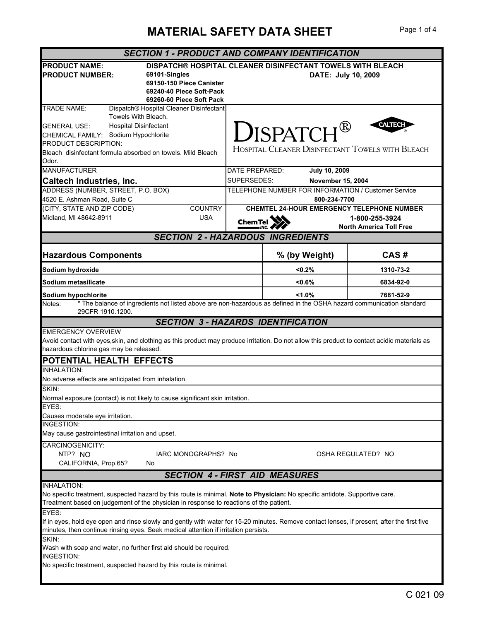## **MATERIAL SAFETY DATA SHEET** Page 1 of 4

| <b>SECTION 1 - PRODUCT AND COMPANY IDENTIFICATION</b>                                                                                                                                                                                                                               |                                                                                |                                                                                   |                                |  |  |
|-------------------------------------------------------------------------------------------------------------------------------------------------------------------------------------------------------------------------------------------------------------------------------------|--------------------------------------------------------------------------------|-----------------------------------------------------------------------------------|--------------------------------|--|--|
| <b>PRODUCT NAME:</b><br><b>PRODUCT NUMBER:</b><br>69101-Singles<br>69150-150 Piece Canister<br>69240-40 Piece Soft-Pack<br>69260-60 Piece Soft Pack                                                                                                                                 |                                                                                | DISPATCH® HOSPITAL CLEANER DISINFECTANT TOWELS WITH BLEACH<br>DATE: July 10, 2009 |                                |  |  |
| <b>TRADE NAME:</b><br>Dispatch® Hospital Cleaner Disinfectant<br>Towels With Bleach.<br><b>Hospital Disinfectant</b><br><b>GENERAL USE:</b><br>CHEMICAL FAMILY: Sodium Hypochlorite<br>PRODUCT DESCRIPTION:<br>Bleach disinfectant formula absorbed on towels. Mild Bleach<br>Odor. |                                                                                | $\mathbf{D}$ ISPATCH®<br>HOSPITAL CLEANER DISINFECTANT TOWELS WITH BLEACH         | <b>CALTECI</b>                 |  |  |
| <b>MANUFACTURER</b><br>Caltech Industries, Inc.                                                                                                                                                                                                                                     | DATE PREPARED:<br>SUPERSEDES:                                                  | <b>July 10, 2009</b><br><b>November 15, 2004</b>                                  |                                |  |  |
| ADDRESS (NUMBER, STREET, P.O. BOX)<br>4520 E. Ashman Road, Suite C                                                                                                                                                                                                                  | TELEPHONE NUMBER FOR INFORMATION / Customer Service<br>800-234-7700            |                                                                                   |                                |  |  |
| (CITY, STATE AND ZIP CODE)<br><b>COUNTRY</b><br>Midland, MI 48642-8911<br><b>USA</b>                                                                                                                                                                                                | <b>CHEMTEL 24-HOUR EMERGENCY TELEPHONE NUMBER</b><br>1-800-255-3924<br>ChemTel |                                                                                   | <b>North America Toll Free</b> |  |  |
| <b>SECTION 2 - HAZARDOUS INGREDIENTS</b>                                                                                                                                                                                                                                            |                                                                                |                                                                                   |                                |  |  |
| <b>Hazardous Components</b>                                                                                                                                                                                                                                                         |                                                                                | % (by Weight)                                                                     | CAS#                           |  |  |
| Sodium hydroxide                                                                                                                                                                                                                                                                    |                                                                                | < 0.2%                                                                            | 1310-73-2                      |  |  |
| Sodium metasilicate                                                                                                                                                                                                                                                                 |                                                                                | < 0.6%                                                                            | 6834-92-0                      |  |  |
| Sodium hypochlorite                                                                                                                                                                                                                                                                 |                                                                                | < 1.0%                                                                            | 7681-52-9                      |  |  |
| * The balance of ingredients not listed above are non-hazardous as defined in the OSHA hazard communication standard<br>Notes:<br>29CFR 1910.1200.                                                                                                                                  |                                                                                |                                                                                   |                                |  |  |
| <b>SECTION 3 - HAZARDS IDENTIFICATION</b>                                                                                                                                                                                                                                           |                                                                                |                                                                                   |                                |  |  |
| <b>EMERGENCY OVERVIEW</b><br>Avoid contact with eyes, skin, and clothing as this product may produce irritation. Do not allow this product to contact acidic materials as<br>hazardous chlorine gas may be released.                                                                |                                                                                |                                                                                   |                                |  |  |
| POTENTIAL HEALTH EFFECTS                                                                                                                                                                                                                                                            |                                                                                |                                                                                   |                                |  |  |
| <b>INHALATION:</b><br>No adverse effects are anticipated from inhalation.                                                                                                                                                                                                           |                                                                                |                                                                                   |                                |  |  |
| SKIN:<br>Normal exposure (contact) is not likely to cause significant skin irritation.                                                                                                                                                                                              |                                                                                |                                                                                   |                                |  |  |
| EYES:<br>Causes moderate eye irritation.                                                                                                                                                                                                                                            |                                                                                |                                                                                   |                                |  |  |
| <b>INGESTION:</b><br>May cause gastrointestinal irritation and upset.                                                                                                                                                                                                               |                                                                                |                                                                                   |                                |  |  |
| CARCINOGENICITY:<br>NTP? NO<br>IARC MONOGRAPHS? No<br>OSHA REGULATED? NO<br>CALIFORNIA, Prop.65?<br>No                                                                                                                                                                              |                                                                                |                                                                                   |                                |  |  |
| <b>SECTION 4 - FIRST AID MEASURES</b>                                                                                                                                                                                                                                               |                                                                                |                                                                                   |                                |  |  |
| <b>INHALATION:</b><br>No specific treatment, suspected hazard by this route is minimal. Note to Physician: No specific antidote. Supportive care.<br>Treatment based on judgement of the physician in response to reactions of the patient.                                         |                                                                                |                                                                                   |                                |  |  |
| EYES:<br>If in eyes, hold eye open and rinse slowly and gently with water for 15-20 minutes. Remove contact lenses, if present, after the first five<br>minutes, then continue rinsing eyes. Seek medical attention if irritation persists.                                         |                                                                                |                                                                                   |                                |  |  |
| SKIN:<br>Wash with soap and water, no further first aid should be required.                                                                                                                                                                                                         |                                                                                |                                                                                   |                                |  |  |
| <b>INGESTION:</b><br>No specific treatment, suspected hazard by this route is minimal.                                                                                                                                                                                              |                                                                                |                                                                                   |                                |  |  |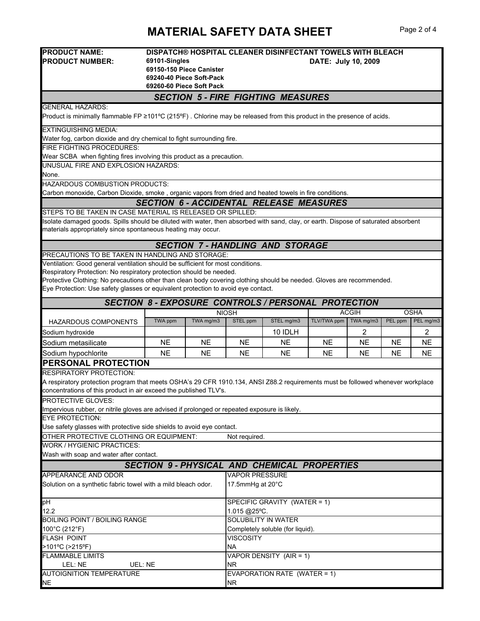## **MATERIAL SAFETY DATA SHEET** Page 2 of 4

| <b>PRODUCT NAME:</b><br><b>PRODUCT NUMBER:</b>                                                                                                                                                      | DISPATCH® HOSPITAL CLEANER DISINFECTANT TOWELS WITH BLEACH<br>69101-Singles<br>DATE: July 10, 2009<br>69150-150 Piece Canister<br>69240-40 Piece Soft-Pack<br>69260-60 Piece Soft Pack |           |                       |                                                            |             |              |           |             |
|-----------------------------------------------------------------------------------------------------------------------------------------------------------------------------------------------------|----------------------------------------------------------------------------------------------------------------------------------------------------------------------------------------|-----------|-----------------------|------------------------------------------------------------|-------------|--------------|-----------|-------------|
|                                                                                                                                                                                                     |                                                                                                                                                                                        |           |                       | <b>SECTION 5 - FIRE FIGHTING MEASURES</b>                  |             |              |           |             |
| <b>GENERAL HAZARDS:</b>                                                                                                                                                                             |                                                                                                                                                                                        |           |                       |                                                            |             |              |           |             |
| Product is minimally flammable FP ≥101°C (215°F). Chlorine may be released from this product in the presence of acids.                                                                              |                                                                                                                                                                                        |           |                       |                                                            |             |              |           |             |
| <b>EXTINGUISHING MEDIA:</b><br>Water fog, carbon dioxide and dry chemical to fight surrounding fire.                                                                                                |                                                                                                                                                                                        |           |                       |                                                            |             |              |           |             |
| <b>FIRE FIGHTING PROCEDURES:</b>                                                                                                                                                                    |                                                                                                                                                                                        |           |                       |                                                            |             |              |           |             |
| Wear SCBA when fighting fires involving this product as a precaution.                                                                                                                               |                                                                                                                                                                                        |           |                       |                                                            |             |              |           |             |
| UNUSUAL FIRE AND EXPLOSION HAZARDS:<br>None.                                                                                                                                                        |                                                                                                                                                                                        |           |                       |                                                            |             |              |           |             |
| HAZARDOUS COMBUSTION PRODUCTS:                                                                                                                                                                      |                                                                                                                                                                                        |           |                       |                                                            |             |              |           |             |
| Carbon monoxide, Carbon Dioxide, smoke, organic vapors from dried and heated towels in fire conditions.                                                                                             |                                                                                                                                                                                        |           |                       |                                                            |             |              |           |             |
|                                                                                                                                                                                                     |                                                                                                                                                                                        |           |                       | <b>SECTION 6 - ACCIDENTAL RELEASE MEASURES</b>             |             |              |           |             |
| STEPS TO BE TAKEN IN CASE MATERIAL IS RELEASED OR SPILLED:                                                                                                                                          |                                                                                                                                                                                        |           |                       |                                                            |             |              |           |             |
| Isolate damaged goods. Spills should be diluted with water, then absorbed with sand, clay, or earth. Dispose of saturated absorbent<br>materials appropriately since spontaneous heating may occur. |                                                                                                                                                                                        |           |                       |                                                            |             |              |           |             |
|                                                                                                                                                                                                     |                                                                                                                                                                                        |           |                       | <b>SECTION 7 - HANDLING AND STORAGE</b>                    |             |              |           |             |
| PRECAUTIONS TO BE TAKEN IN HANDLING AND STORAGE:                                                                                                                                                    |                                                                                                                                                                                        |           |                       |                                                            |             |              |           |             |
| Ventilation: Good general ventilation should be sufficient for most conditions.                                                                                                                     |                                                                                                                                                                                        |           |                       |                                                            |             |              |           |             |
| Respiratory Protection: No respiratory protection should be needed.                                                                                                                                 |                                                                                                                                                                                        |           |                       |                                                            |             |              |           |             |
| Protective Clothing: No precautions other than clean body covering clothing should be needed. Gloves are recommended.                                                                               |                                                                                                                                                                                        |           |                       |                                                            |             |              |           |             |
| Eye Protection: Use safety glasses or equivalent protection to avoid eye contact.                                                                                                                   |                                                                                                                                                                                        |           |                       |                                                            |             |              |           |             |
|                                                                                                                                                                                                     |                                                                                                                                                                                        |           |                       | <b>SECTION 8 - EXPOSURE CONTROLS / PERSONAL PROTECTION</b> |             |              |           |             |
|                                                                                                                                                                                                     |                                                                                                                                                                                        |           | <b>NIOSH</b>          |                                                            |             | <b>ACGIH</b> |           | <b>OSHA</b> |
| <b>HAZARDOUS COMPONENTS</b>                                                                                                                                                                         | TWA ppm                                                                                                                                                                                | TWA mg/m3 | STEL ppm              | STEL mg/m3                                                 | TLV/TWA ppm | TWA mg/m3    | PEL ppm   | PEL mg/m3   |
| Sodium hydroxide                                                                                                                                                                                    |                                                                                                                                                                                        |           |                       | 10 IDLH                                                    |             | 2            |           | 2           |
| Sodium metasilicate                                                                                                                                                                                 | <b>NE</b>                                                                                                                                                                              | <b>NE</b> | <b>NE</b>             | <b>NE</b>                                                  | <b>NE</b>   | NE           | <b>NE</b> | <b>NE</b>   |
| Sodium hypochlorite                                                                                                                                                                                 | <b>NE</b>                                                                                                                                                                              | <b>NE</b> | <b>NE</b>             | <b>NE</b>                                                  | <b>NE</b>   | <b>NE</b>    | NE        | <b>NE</b>   |
| <b>PERSONAL PROTECTION</b>                                                                                                                                                                          |                                                                                                                                                                                        |           |                       |                                                            |             |              |           |             |
| <b>RESPIRATORY PROTECTION:</b>                                                                                                                                                                      |                                                                                                                                                                                        |           |                       |                                                            |             |              |           |             |
| A respiratory protection program that meets OSHA's 29 CFR 1910.134, ANSI Z88.2 requirements must be followed whenever workplace<br>oncentrations of this product in air exceed the published TLV's. |                                                                                                                                                                                        |           |                       |                                                            |             |              |           |             |
| PROTECTIVE GLOVES:                                                                                                                                                                                  |                                                                                                                                                                                        |           |                       |                                                            |             |              |           |             |
| Impervious rubber, or nitrile gloves are advised if prolonged or repeated exposure is likely.                                                                                                       |                                                                                                                                                                                        |           |                       |                                                            |             |              |           |             |
| <b>EYE PROTECTION:</b>                                                                                                                                                                              |                                                                                                                                                                                        |           |                       |                                                            |             |              |           |             |
| Use safety glasses with protective side shields to avoid eye contact.                                                                                                                               |                                                                                                                                                                                        |           |                       |                                                            |             |              |           |             |
| OTHER PROTECTIVE CLOTHING OR EQUIPMENT:                                                                                                                                                             |                                                                                                                                                                                        |           | Not required.         |                                                            |             |              |           |             |
| WORK / HYGIENIC PRACTICES:                                                                                                                                                                          |                                                                                                                                                                                        |           |                       |                                                            |             |              |           |             |
| Wash with soap and water after contact.                                                                                                                                                             |                                                                                                                                                                                        |           |                       |                                                            |             |              |           |             |
|                                                                                                                                                                                                     |                                                                                                                                                                                        |           |                       | <b>SECTION 9- PHYSICAL AND CHEMICAL PROPERTIES</b>         |             |              |           |             |
| APPEARANCE AND ODOR                                                                                                                                                                                 |                                                                                                                                                                                        |           | <b>VAPOR PRESSURE</b> |                                                            |             |              |           |             |
| Solution on a synthetic fabric towel with a mild bleach odor.                                                                                                                                       |                                                                                                                                                                                        |           | 17.5mmHg at 20°C      |                                                            |             |              |           |             |
| pH<br>SPECIFIC GRAVITY (WATER = 1)                                                                                                                                                                  |                                                                                                                                                                                        |           |                       |                                                            |             |              |           |             |
| 12.2<br>1.015 @25°C.                                                                                                                                                                                |                                                                                                                                                                                        |           |                       |                                                            |             |              |           |             |
| SOLUBILITY IN WATER<br><b>BOILING POINT / BOILING RANGE</b>                                                                                                                                         |                                                                                                                                                                                        |           |                       |                                                            |             |              |           |             |
| 100°C (212°F)<br>Completely soluble (for liquid).<br><b>VISCOSITY</b>                                                                                                                               |                                                                                                                                                                                        |           |                       |                                                            |             |              |           |             |
| <b>FLASH POINT</b>                                                                                                                                                                                  | <b>NA</b><br>>101°C (>215°F)                                                                                                                                                           |           |                       |                                                            |             |              |           |             |
| <b>FLAMMABLE LIMITS</b><br>VAPOR DENSITY (AIR = 1)                                                                                                                                                  |                                                                                                                                                                                        |           |                       |                                                            |             |              |           |             |
|                                                                                                                                                                                                     | LEL: NE<br>UEL: NE<br><b>NR</b>                                                                                                                                                        |           |                       |                                                            |             |              |           |             |
| <b>AUTOIGNITION TEMPERATURE</b><br>EVAPORATION RATE (WATER = 1)                                                                                                                                     |                                                                                                                                                                                        |           |                       |                                                            |             |              |           |             |
| <b>NE</b>                                                                                                                                                                                           | <b>NR</b>                                                                                                                                                                              |           |                       |                                                            |             |              |           |             |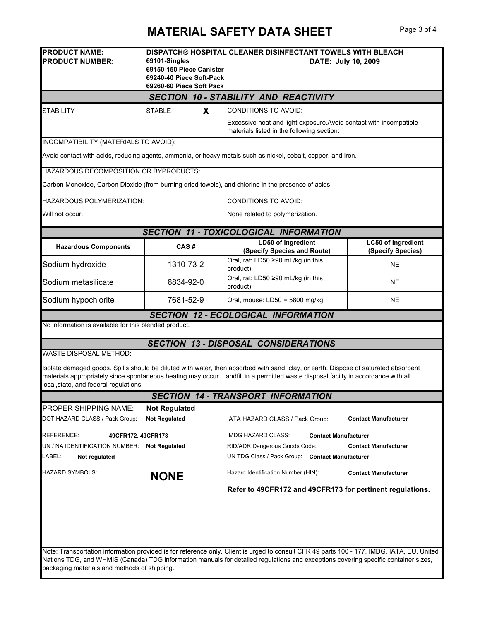## **MATERIAL SAFETY DATA SHEET** Page 3 of 4

| <b>PRODUCT NAME:</b><br><b>PRODUCT NUMBER:</b>                                                                                                                                                                                                                                                                                                       | DISPATCH® HOSPITAL CLEANER DISINFECTANT TOWELS WITH BLEACH<br>69101-Singles<br>DATE: July 10, 2009<br>69150-150 Piece Canister<br>69240-40 Piece Soft-Pack<br>69260-60 Piece Soft Pack |                                                                                                                  |                                                |  |  |  |
|------------------------------------------------------------------------------------------------------------------------------------------------------------------------------------------------------------------------------------------------------------------------------------------------------------------------------------------------------|----------------------------------------------------------------------------------------------------------------------------------------------------------------------------------------|------------------------------------------------------------------------------------------------------------------|------------------------------------------------|--|--|--|
| <b>SECTION 10 - STABILITY AND REACTIVITY</b>                                                                                                                                                                                                                                                                                                         |                                                                                                                                                                                        |                                                                                                                  |                                                |  |  |  |
| STABILITY                                                                                                                                                                                                                                                                                                                                            | <b>STABLE</b><br>X                                                                                                                                                                     | CONDITIONS TO AVOID:                                                                                             |                                                |  |  |  |
|                                                                                                                                                                                                                                                                                                                                                      |                                                                                                                                                                                        | Excessive heat and light exposure. Avoid contact with incompatible<br>materials listed in the following section: |                                                |  |  |  |
| INCOMPATIBILITY (MATERIALS TO AVOID):                                                                                                                                                                                                                                                                                                                |                                                                                                                                                                                        |                                                                                                                  |                                                |  |  |  |
|                                                                                                                                                                                                                                                                                                                                                      |                                                                                                                                                                                        | Avoid contact with acids, reducing agents, ammonia, or heavy metals such as nickel, cobalt, copper, and iron.    |                                                |  |  |  |
| HAZARDOUS DECOMPOSITION OR BYPRODUCTS:                                                                                                                                                                                                                                                                                                               |                                                                                                                                                                                        |                                                                                                                  |                                                |  |  |  |
|                                                                                                                                                                                                                                                                                                                                                      |                                                                                                                                                                                        | Carbon Monoxide, Carbon Dioxide (from burning dried towels), and chlorine in the presence of acids.              |                                                |  |  |  |
| <b>HAZARDOUS POLYMERIZATION:</b>                                                                                                                                                                                                                                                                                                                     |                                                                                                                                                                                        | <b>CONDITIONS TO AVOID:</b>                                                                                      |                                                |  |  |  |
| Will not occur.                                                                                                                                                                                                                                                                                                                                      |                                                                                                                                                                                        | None related to polymerization.                                                                                  |                                                |  |  |  |
|                                                                                                                                                                                                                                                                                                                                                      |                                                                                                                                                                                        | <b>SECTION 11 - TOXICOLOGICAL INFORMATION</b>                                                                    |                                                |  |  |  |
| <b>Hazardous Components</b>                                                                                                                                                                                                                                                                                                                          | CAS#                                                                                                                                                                                   | LD50 of Ingredient<br>(Specify Species and Route)                                                                | <b>LC50 of Ingredient</b><br>(Specify Species) |  |  |  |
| Sodium hydroxide                                                                                                                                                                                                                                                                                                                                     | 1310-73-2                                                                                                                                                                              | Oral, rat: LD50 ≥90 mL/kg (in this<br>product)                                                                   | NE                                             |  |  |  |
| Sodium metasilicate                                                                                                                                                                                                                                                                                                                                  | 6834-92-0                                                                                                                                                                              | Oral, rat: LD50 ≥90 mL/kg (in this<br>product)                                                                   | NE                                             |  |  |  |
| Sodium hypochlorite                                                                                                                                                                                                                                                                                                                                  | 7681-52-9                                                                                                                                                                              | Oral, mouse: LD50 = 5800 mg/kg                                                                                   | <b>NE</b>                                      |  |  |  |
| No information is available for this blended product.                                                                                                                                                                                                                                                                                                |                                                                                                                                                                                        | <b>SECTION 12 - ECOLOGICAL INFORMATION</b>                                                                       |                                                |  |  |  |
|                                                                                                                                                                                                                                                                                                                                                      |                                                                                                                                                                                        |                                                                                                                  |                                                |  |  |  |
|                                                                                                                                                                                                                                                                                                                                                      |                                                                                                                                                                                        | <b>SECTION 13 - DISPOSAL CONSIDERATIONS</b>                                                                      |                                                |  |  |  |
| <b>WASTE DISPOSAL METHOD:</b><br>Isolate damaged goods. Spills should be diluted with water, then absorbed with sand, clay, or earth. Dispose of saturated absorbent<br>materials appropriately since spontaneous heating may occur. Landfill in a permitted waste disposal faciity in accordance with all<br>local, state, and federal regulations. |                                                                                                                                                                                        |                                                                                                                  |                                                |  |  |  |
|                                                                                                                                                                                                                                                                                                                                                      |                                                                                                                                                                                        | <b>SECTION 14 - TRANSPORT INFORMATION</b>                                                                        |                                                |  |  |  |
| <b>PROPER SHIPPING NAME:</b><br>DOT HAZARD CLASS / Pack Group:                                                                                                                                                                                                                                                                                       | <b>Not Regulated</b><br><b>Not Regulated</b>                                                                                                                                           | IATA HAZARD CLASS / Pack Group:                                                                                  | <b>Contact Manufacturer</b>                    |  |  |  |
|                                                                                                                                                                                                                                                                                                                                                      |                                                                                                                                                                                        |                                                                                                                  |                                                |  |  |  |
| REFERENCE:<br>49CFR172, 49CFR173                                                                                                                                                                                                                                                                                                                     |                                                                                                                                                                                        | <b>IMDG HAZARD CLASS:</b><br><b>Contact Manufacturer</b>                                                         |                                                |  |  |  |
| UN / NA IDENTIFICATION NUMBER: Not Regulated<br>LABEL:<br>Not regulated                                                                                                                                                                                                                                                                              |                                                                                                                                                                                        | RID/ADR Dangerous Goods Code:<br>UN TDG Class / Pack Group: Contact Manufacturer                                 | <b>Contact Manufacturer</b>                    |  |  |  |
|                                                                                                                                                                                                                                                                                                                                                      |                                                                                                                                                                                        |                                                                                                                  |                                                |  |  |  |
| HAZARD SYMBOLS:                                                                                                                                                                                                                                                                                                                                      | <b>NONE</b>                                                                                                                                                                            | Hazard Identification Number (HIN):                                                                              | <b>Contact Manufacturer</b>                    |  |  |  |
|                                                                                                                                                                                                                                                                                                                                                      |                                                                                                                                                                                        | Refer to 49CFR172 and 49CFR173 for pertinent regulations.                                                        |                                                |  |  |  |
|                                                                                                                                                                                                                                                                                                                                                      |                                                                                                                                                                                        |                                                                                                                  |                                                |  |  |  |
| Note: Transportation information provided is for reference only. Client is urged to consult CFR 49 parts 100 - 177, IMDG, IATA, EU, United<br>Nations TDG, and WHMIS (Canada) TDG information manuals for detailed regulations and exceptions covering specific container sizes,<br>packaging materials and methods of shipping.                     |                                                                                                                                                                                        |                                                                                                                  |                                                |  |  |  |